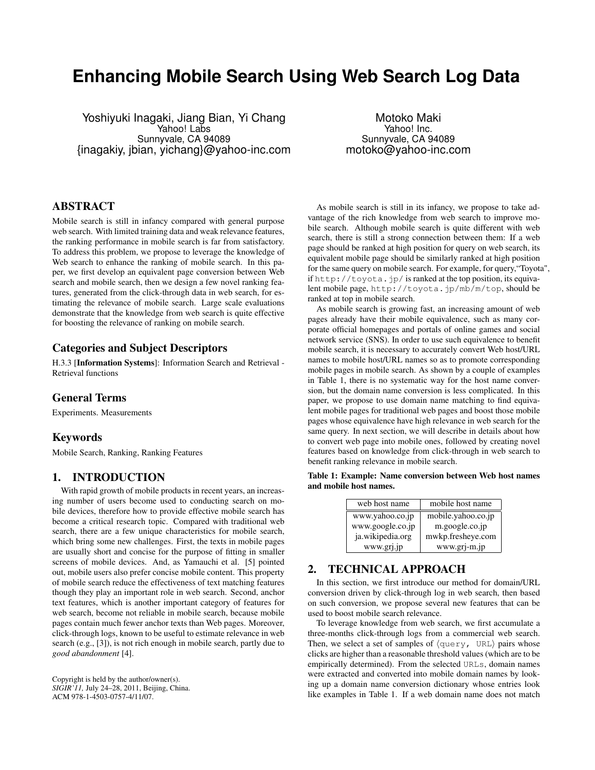# **Enhancing Mobile Search Using Web Search Log Data**

Yoshiyuki Inagaki, Jiang Bian, Yi Chang Yahoo! Labs Sunnyvale, CA 94089 {inagakiy, jbian, yichang}@yahoo-inc.com

Motoko Maki Yahoo! Inc. Sunnyvale, CA 94089 motoko@yahoo-inc.com

# ABSTRACT

Mobile search is still in infancy compared with general purpose web search. With limited training data and weak relevance features, the ranking performance in mobile search is far from satisfactory. To address this problem, we propose to leverage the knowledge of Web search to enhance the ranking of mobile search. In this paper, we first develop an equivalent page conversion between Web search and mobile search, then we design a few novel ranking features, generated from the click-through data in web search, for estimating the relevance of mobile search. Large scale evaluations demonstrate that the knowledge from web search is quite effective for boosting the relevance of ranking on mobile search.

## Categories and Subject Descriptors

H.3.3 [Information Systems]: Information Search and Retrieval - Retrieval functions

## General Terms

Experiments. Measurements

# Keywords

Mobile Search, Ranking, Ranking Features

## 1. INTRODUCTION

With rapid growth of mobile products in recent years, an increasing number of users become used to conducting search on mobile devices, therefore how to provide effective mobile search has become a critical research topic. Compared with traditional web search, there are a few unique characteristics for mobile search, which bring some new challenges. First, the texts in mobile pages are usually short and concise for the purpose of fitting in smaller screens of mobile devices. And, as Yamauchi et al. [5] pointed out, mobile users also prefer concise mobile content. This property of mobile search reduce the effectiveness of text matching features though they play an important role in web search. Second, anchor text features, which is another important category of features for web search, become not reliable in mobile search, because mobile pages contain much fewer anchor texts than Web pages. Moreover, click-through logs, known to be useful to estimate relevance in web search (e.g., [3]), is not rich enough in mobile search, partly due to *good abandonment* [4].

Copyright is held by the author/owner(s). *SIGIR'11,* July 24–28, 2011, Beijing, China. ACM 978-1-4503-0757-4/11/07.

As mobile search is still in its infancy, we propose to take advantage of the rich knowledge from web search to improve mobile search. Although mobile search is quite different with web search, there is still a strong connection between them: If a web page should be ranked at high position for query on web search, its equivalent mobile page should be similarly ranked at high position for the same query on mobile search. For example, for query,"Toyota", if http://toyota.jp/ is ranked at the top position, its equivalent mobile page, http://toyota.jp/mb/m/top, should be ranked at top in mobile search.

As mobile search is growing fast, an increasing amount of web pages already have their mobile equivalence, such as many corporate official homepages and portals of online games and social network service (SNS). In order to use such equivalence to benefit mobile search, it is necessary to accurately convert Web host/URL names to mobile host/URL names so as to promote corresponding mobile pages in mobile search. As shown by a couple of examples in Table 1, there is no systematic way for the host name conversion, but the domain name conversion is less complicated. In this paper, we propose to use domain name matching to find equivalent mobile pages for traditional web pages and boost those mobile pages whose equivalence have high relevance in web search for the same query. In next section, we will describe in details about how to convert web page into mobile ones, followed by creating novel features based on knowledge from click-through in web search to benefit ranking relevance in mobile search.

Table 1: Example: Name conversion between Web host names and mobile host names.

| web host name    | mobile host name   |
|------------------|--------------------|
| www.yahoo.co.jp  | mobile.yahoo.co.jp |
| www.google.co.jp | m.google.co.jp     |
| ja.wikipedia.org | mwkp.fresheye.com  |
| www.grj.jp       | www.grj-m.jp       |

# 2. TECHNICAL APPROACH

In this section, we first introduce our method for domain/URL conversion driven by click-through log in web search, then based on such conversion, we propose several new features that can be used to boost mobile search relevance.

To leverage knowledge from web search, we first accumulate a three-months click-through logs from a commercial web search. Then, we select a set of samples of *⟨*query, URL*⟩* pairs whose clicks are higher than a reasonable threshold values (which are to be empirically determined). From the selected URLs, domain names were extracted and converted into mobile domain names by looking up a domain name conversion dictionary whose entries look like examples in Table 1. If a web domain name does not match